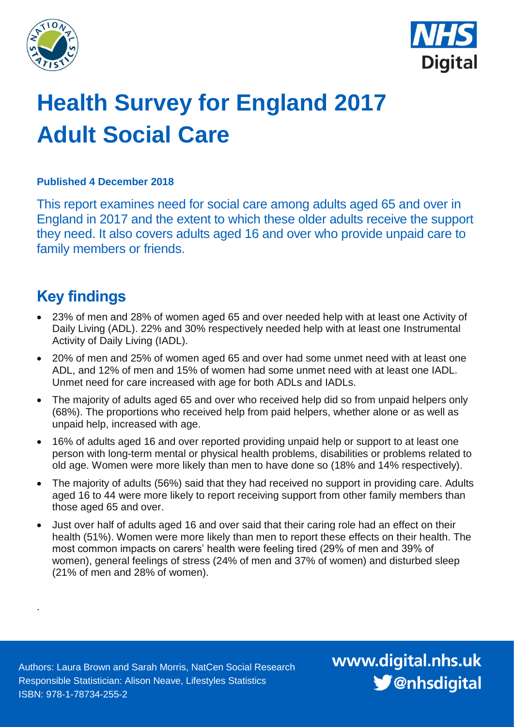



# **Health Survey for England 2017 Adult Social Care**

#### **Published 4 December 2018**

This report examines need for social care among adults aged 65 and over in England in 2017 and the extent to which these older adults receive the support they need. It also covers adults aged 16 and over who provide unpaid care to family members or friends.

### <span id="page-0-0"></span>**Key findings**

.

- 23% of men and 28% of women aged 65 and over needed help with at least one Activity of Daily Living (ADL). 22% and 30% respectively needed help with at least one Instrumental Activity of Daily Living (IADL).
- 20% of men and 25% of women aged 65 and over had some unmet need with at least one ADL, and 12% of men and 15% of women had some unmet need with at least one IADL. Unmet need for care increased with age for both ADLs and IADLs.
- The majority of adults aged 65 and over who received help did so from unpaid helpers only (68%). The proportions who received help from paid helpers, whether alone or as well as unpaid help, increased with age.
- 16% of adults aged 16 and over reported providing unpaid help or support to at least one person with long-term mental or physical health problems, disabilities or problems related to old age. Women were more likely than men to have done so (18% and 14% respectively).
- The majority of adults (56%) said that they had received no support in providing care. Adults aged 16 to 44 were more likely to report receiving support from other family members than those aged 65 and over.
- Just over half of adults aged 16 and over said that their caring role had an effect on their health (51%). Women were more likely than men to report these effects on their health. The most common impacts on carers' health were feeling tired (29% of men and 39% of women), general feelings of stress (24% of men and 37% of women) and disturbed sleep (21% of men and 28% of women).

Authors: Laura Brown and Sarah Morris, NatCen Social Research Responsible Statistician: Alison Neave, Lifestyles Statistics ISBN: 978-1-78734-255-2

www.digital.nhs.uk S @nhsdigital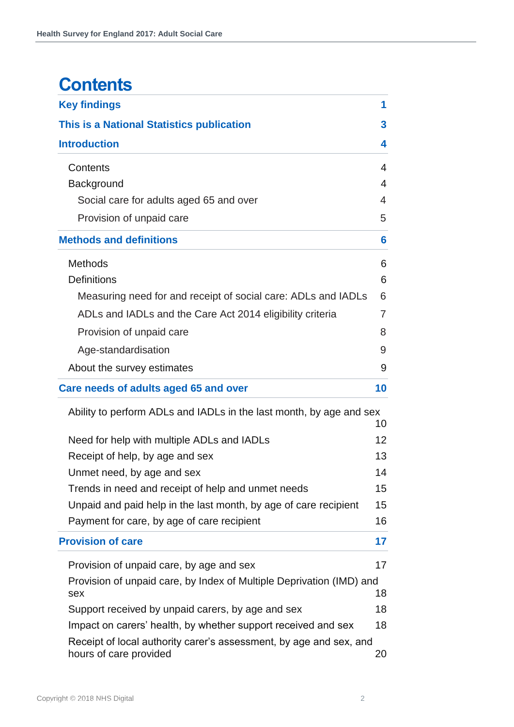### **Contents**

| <b>Key findings</b>                                                                          | 1                 |
|----------------------------------------------------------------------------------------------|-------------------|
| This is a National Statistics publication                                                    | 3                 |
| <b>Introduction</b>                                                                          | 4                 |
| Contents                                                                                     | $\overline{4}$    |
| Background                                                                                   | $\overline{4}$    |
| Social care for adults aged 65 and over                                                      | 4                 |
| Provision of unpaid care                                                                     | 5                 |
| <b>Methods and definitions</b>                                                               | 6                 |
| <b>Methods</b>                                                                               | 6                 |
| <b>Definitions</b>                                                                           | 6                 |
| Measuring need for and receipt of social care: ADLs and IADLs                                | 6                 |
| ADLs and IADLs and the Care Act 2014 eligibility criteria                                    | 7                 |
| Provision of unpaid care                                                                     | 8                 |
| Age-standardisation                                                                          | 9                 |
| About the survey estimates                                                                   | 9                 |
| Care needs of adults aged 65 and over                                                        | 10                |
| Ability to perform ADLs and IADLs in the last month, by age and sex                          | 10                |
| Need for help with multiple ADLs and IADLs                                                   | $12 \overline{ }$ |
| Receipt of help, by age and sex                                                              | 13                |
| Unmet need, by age and sex                                                                   | 14                |
| Trends in need and receipt of help and unmet needs                                           | 15                |
| Unpaid and paid help in the last month, by age of care recipient                             | 15                |
| Payment for care, by age of care recipient                                                   | 16                |
| <b>Provision of care</b>                                                                     | 17                |
| Provision of unpaid care, by age and sex                                                     | 17                |
| Provision of unpaid care, by Index of Multiple Deprivation (IMD) and<br>sex                  | 18                |
| Support received by unpaid carers, by age and sex                                            | 18                |
| Impact on carers' health, by whether support received and sex                                | 18                |
| Receipt of local authority carer's assessment, by age and sex, and<br>hours of care provided | 20                |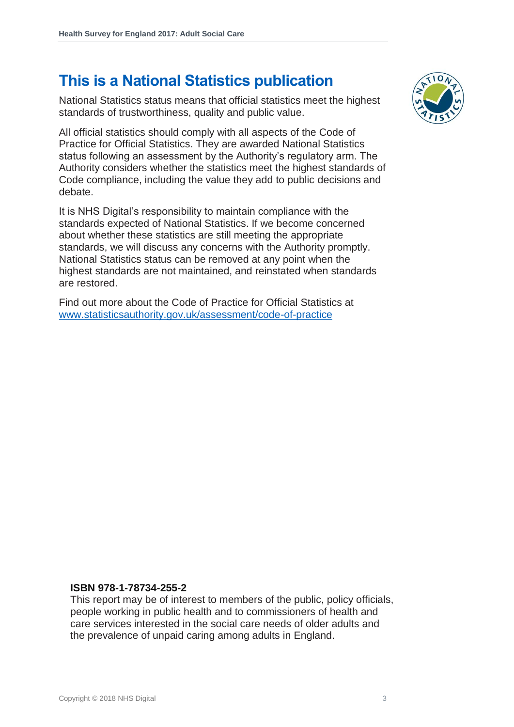### **This is a National Statistics publication**

National Statistics status means that official statistics meet the highest standards of trustworthiness, quality and public value.

All official statistics should comply with all aspects of the Code of Practice for Official Statistics. They are awarded National Statistics status following an assessment by the Authority's regulatory arm. The Authority considers whether the statistics meet the highest standards of Code compliance, including the value they add to public decisions and debate.

It is NHS Digital's responsibility to maintain compliance with the standards expected of National Statistics. If we become concerned about whether these statistics are still meeting the appropriate standards, we will discuss any concerns with the Authority promptly. National Statistics status can be removed at any point when the highest standards are not maintained, and reinstated when standards are restored.

Find out more about the Code of Practice for Official Statistics at [www.statisticsauthority.gov.uk/assessment/code-of-practice](http://www.statisticsauthority.gov.uk/assessment/code-of-practice)



#### **ISBN 978-1-78734-255-2**

This report may be of interest to members of the public, policy officials, people working in public health and to commissioners of health and care services interested in the social care needs of older adults and the prevalence of unpaid caring among adults in England.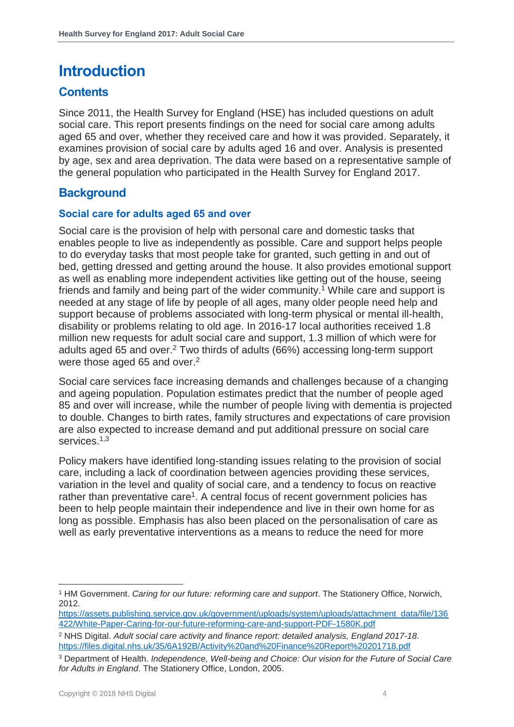### <span id="page-3-0"></span>**Introduction**

#### <span id="page-3-1"></span>**Contents**

Since 2011, the Health Survey for England (HSE) has included questions on adult social care. This report presents findings on the need for social care among adults aged 65 and over, whether they received care and how it was provided. Separately, it examines provision of social care by adults aged 16 and over. Analysis is presented by age, sex and area deprivation. The data were based on a representative sample of the general population who participated in the Health Survey for England 2017.

#### <span id="page-3-2"></span>**Background**

#### <span id="page-3-3"></span>**Social care for adults aged 65 and over**

Social care is the provision of help with personal care and domestic tasks that enables people to live as independently as possible. Care and support helps people to do everyday tasks that most people take for granted, such getting in and out of bed, getting dressed and getting around the house. It also provides emotional support as well as enabling more independent activities like getting out of the house, seeing friends and family and being part of the wider community. <sup>1</sup> While care and support is needed at any stage of life by people of all ages, many older people need help and support because of problems associated with long-term physical or mental ill-health, disability or problems relating to old age. In 2016-17 local authorities received 1.8 million new requests for adult social care and support, 1.3 million of which were for adults aged 65 and over. <sup>2</sup> Two thirds of adults (66%) accessing long-term support were those aged 65 and over.<sup>2</sup>

Social care services face increasing demands and challenges because of a changing and ageing population. Population estimates predict that the number of people aged 85 and over will increase, while the number of people living with dementia is projected to double. Changes to birth rates, family structures and expectations of care provision are also expected to increase demand and put additional pressure on social care services. 1,3

Policy makers have identified long-standing issues relating to the provision of social care, including a lack of coordination between agencies providing these services, variation in the level and quality of social care, and a tendency to focus on reactive rather than preventative care<sup>1</sup>. A central focus of recent government policies has been to help people maintain their independence and live in their own home for as long as possible. Emphasis has also been placed on the personalisation of care as well as early preventative interventions as a means to reduce the need for more

<sup>1</sup> HM Government. *Caring for our future: reforming care and support*. The Stationery Office, Norwich, 2012.

[https://assets.publishing.service.gov.uk/government/uploads/system/uploads/attachment\\_data/file/136](https://assets.publishing.service.gov.uk/government/uploads/system/uploads/attachment_data/file/136422/White-Paper-Caring-for-our-future-reforming-care-and-support-PDF-1580K.pdf) [422/White-Paper-Caring-for-our-future-reforming-care-and-support-PDF-1580K.pdf](https://assets.publishing.service.gov.uk/government/uploads/system/uploads/attachment_data/file/136422/White-Paper-Caring-for-our-future-reforming-care-and-support-PDF-1580K.pdf)

<sup>2</sup> NHS Digital. *Adult social care activity and finance report: detailed analysis, England 2017-18*. <https://files.digital.nhs.uk/35/6A192B/Activity%20and%20Finance%20Report%20201718.pdf>

<sup>3</sup> Department of Health. *Independence, Well-being and Choice: Our vision for the Future of Social Care for Adults in England*. The Stationery Office, London, 2005.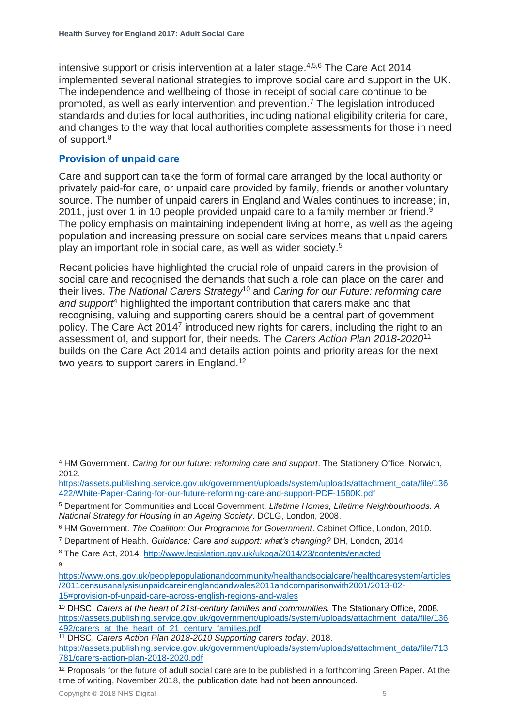intensive support or crisis intervention at a later stage. 4,5,6 The Care Act 2014 implemented several national strategies to improve social care and support in the UK. The independence and wellbeing of those in receipt of social care continue to be promoted, as well as early intervention and prevention. <sup>7</sup> The legislation introduced standards and duties for local authorities, including national eligibility criteria for care, and changes to the way that local authorities complete assessments for those in need of support.<sup>8</sup>

#### <span id="page-4-0"></span>**Provision of unpaid care**

Care and support can take the form of formal care arranged by the local authority or privately paid-for care, or unpaid care provided by family, friends or another voluntary source. The number of unpaid carers in England and Wales continues to increase; in, 2011, just over 1 in 10 people provided unpaid care to a family member or friend.<sup>9</sup> The policy emphasis on maintaining independent living at home, as well as the ageing population and increasing pressure on social care services means that unpaid carers play an important role in social care, as well as wider society. 5

Recent policies have highlighted the crucial role of unpaid carers in the provision of social care and recognised the demands that such a role can place on the carer and their lives. *The National Carers Strategy*<sup>10</sup> and *Caring for our Future: reforming care and support*<sup>4</sup> highlighted the important contribution that carers make and that recognising, valuing and supporting carers should be a central part of government policy. The Care Act 2014<sup>7</sup> introduced new rights for carers, including the right to an assessment of, and support for, their needs. The *Carers Action Plan 2018-2020*<sup>11</sup> builds on the Care Act 2014 and details action points and priority areas for the next two years to support carers in England.<sup>12</sup>

l <sup>4</sup> HM Government. *Caring for our future: reforming care and support*. The Stationery Office, Norwich, 2012.

[https://assets.publishing.service.gov.uk/government/uploads/system/uploads/attachment\\_data/file/136](https://assets.publishing.service.gov.uk/government/uploads/system/uploads/attachment_data/file/136422/White-Paper-Caring-for-our-future-reforming-care-and-support-PDF-1580K.pdf) [422/White-Paper-Caring-for-our-future-reforming-care-and-support-PDF-1580K.pdf](https://assets.publishing.service.gov.uk/government/uploads/system/uploads/attachment_data/file/136422/White-Paper-Caring-for-our-future-reforming-care-and-support-PDF-1580K.pdf)

<sup>5</sup> Department for Communities and Local Government. *Lifetime Homes, Lifetime Neighbourhoods. A National Strategy for Housing in an Ageing Society*. DCLG, London, 2008.

<sup>6</sup> HM Government*. The Coalition: Our Programme for Government*. Cabinet Office, London, 2010.

<sup>7</sup> Department of Health. *Guidance: Care and support: what's changing?* DH, London, 2014

<sup>8</sup> The Care Act, 2014.<http://www.legislation.gov.uk/ukpga/2014/23/contents/enacted>  $\overline{Q}$ 

[https://www.ons.gov.uk/peoplepopulationandcommunity/healthandsocialcare/healthcaresystem/articles](https://www.ons.gov.uk/peoplepopulationandcommunity/healthandsocialcare/healthcaresystem/articles/2011censusanalysisunpaidcareinenglandandwales2011andcomparisonwith2001/2013-02-15#provision-of-unpaid-care-across-english-regions-and-wales) [/2011censusanalysisunpaidcareinenglandandwales2011andcomparisonwith2001/2013-02-](https://www.ons.gov.uk/peoplepopulationandcommunity/healthandsocialcare/healthcaresystem/articles/2011censusanalysisunpaidcareinenglandandwales2011andcomparisonwith2001/2013-02-15#provision-of-unpaid-care-across-english-regions-and-wales) [15#provision-of-unpaid-care-across-english-regions-and-wales](https://www.ons.gov.uk/peoplepopulationandcommunity/healthandsocialcare/healthcaresystem/articles/2011censusanalysisunpaidcareinenglandandwales2011andcomparisonwith2001/2013-02-15#provision-of-unpaid-care-across-english-regions-and-wales)

<sup>10</sup> DHSC. *Carers at the heart of 21st-century families and communities.* The Stationary Office, 2008*.*  [https://assets.publishing.service.gov.uk/government/uploads/system/uploads/attachment\\_data/file/136](https://assets.publishing.service.gov.uk/government/uploads/system/uploads/attachment_data/file/136492/carers_at_the_heart_of_21_century_families.pdf) [492/carers\\_at\\_the\\_heart\\_of\\_21\\_century\\_families.pdf](https://assets.publishing.service.gov.uk/government/uploads/system/uploads/attachment_data/file/136492/carers_at_the_heart_of_21_century_families.pdf) 

<sup>11</sup> DHSC. *Carers Action Plan 2018-2010 Supporting carers today*. 2018.

[https://assets.publishing.service.gov.uk/government/uploads/system/uploads/attachment\\_data/file/713](https://assets.publishing.service.gov.uk/government/uploads/system/uploads/attachment_data/file/713781/carers-action-plan-2018-2020.pdf) [781/carers-action-plan-2018-2020.pdf](https://assets.publishing.service.gov.uk/government/uploads/system/uploads/attachment_data/file/713781/carers-action-plan-2018-2020.pdf)

<sup>&</sup>lt;sup>12</sup> Proposals for the future of adult social care are to be published in a forthcoming Green Paper. At the time of writing, November 2018, the publication date had not been announced.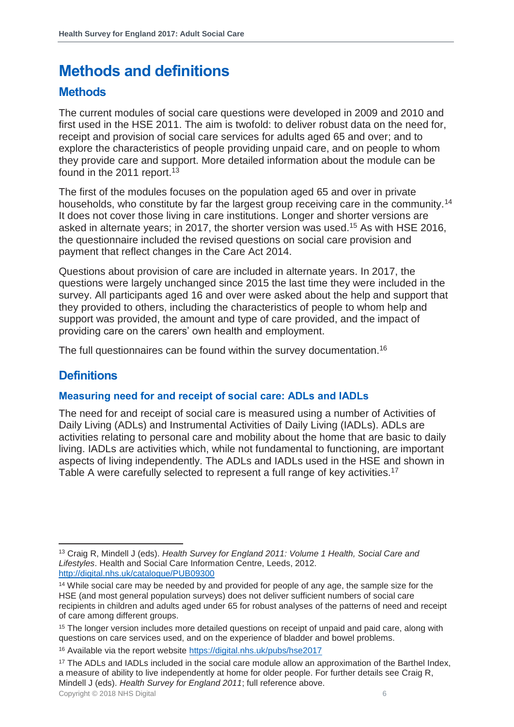### <span id="page-5-0"></span>**Methods and definitions**

#### <span id="page-5-1"></span>**Methods**

The current modules of social care questions were developed in 2009 and 2010 and first used in the HSE 2011. The aim is twofold: to deliver robust data on the need for, receipt and provision of social care services for adults aged 65 and over; and to explore the characteristics of people providing unpaid care, and on people to whom they provide care and support. More detailed information about the module can be found in the 2011 report.<sup>13</sup>

The first of the modules focuses on the population aged 65 and over in private households, who constitute by far the largest group receiving care in the community.<sup>14</sup> It does not cover those living in care institutions. Longer and shorter versions are asked in alternate years; in 2017, the shorter version was used.<sup>15</sup> As with HSE 2016, the questionnaire included the revised questions on social care provision and payment that reflect changes in the Care Act 2014.

Questions about provision of care are included in alternate years. In 2017, the questions were largely unchanged since 2015 the last time they were included in the survey. All participants aged 16 and over were asked about the help and support that they provided to others, including the characteristics of people to whom help and support was provided, the amount and type of care provided, and the impact of providing care on the carers' own health and employment.

The full questionnaires can be found within the survey documentation.<sup>16</sup>

### <span id="page-5-2"></span>**Definitions**

l

#### <span id="page-5-3"></span>**Measuring need for and receipt of social care: ADLs and IADLs**

The need for and receipt of social care is measured using a number of Activities of Daily Living (ADLs) and Instrumental Activities of Daily Living (IADLs). ADLs are activities relating to personal care and mobility about the home that are basic to daily living. IADLs are activities which, while not fundamental to functioning, are important aspects of living independently. The ADLs and IADLs used in the HSE and shown in Table A were carefully selected to represent a full range of key activities.<sup>17</sup>

<sup>13</sup> Craig R, Mindell J (eds). *Health Survey for England 2011: Volume 1 Health, Social Care and Lifestyles*. Health and Social Care Information Centre, Leeds, 2012. <http://digital.nhs.uk/catalogue/PUB09300>

<sup>&</sup>lt;sup>14</sup> While social care may be needed by and provided for people of any age, the sample size for the HSE (and most general population surveys) does not deliver sufficient numbers of social care recipients in children and adults aged under 65 for robust analyses of the patterns of need and receipt of care among different groups.

<sup>&</sup>lt;sup>15</sup> The longer version includes more detailed questions on receipt of unpaid and paid care, along with questions on care services used, and on the experience of bladder and bowel problems.

<sup>16</sup> Available via the report website<https://digital.nhs.uk/pubs/hse2017>

<sup>&</sup>lt;sup>17</sup> The ADLs and IADLs included in the social care module allow an approximation of the Barthel Index, a measure of ability to live independently at home for older people. For further details see Craig R, Mindell J (eds). *Health Survey for England 2011*; full reference above.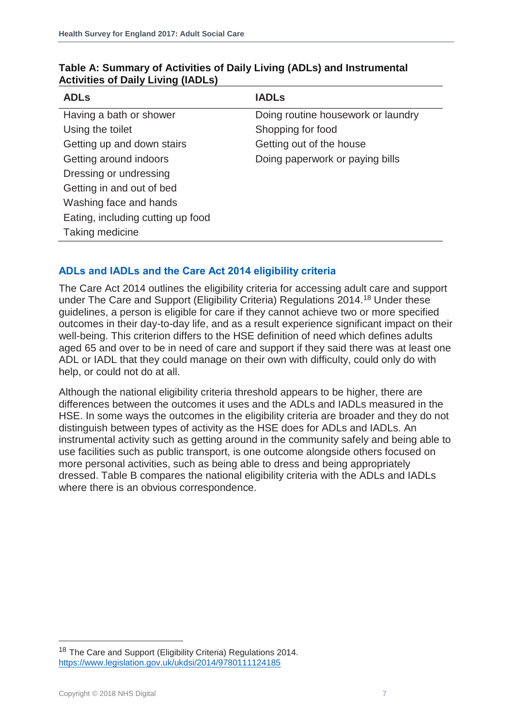| <b>ADLs</b>                       | <b>IADLs</b>                       |
|-----------------------------------|------------------------------------|
| Having a bath or shower           | Doing routine housework or laundry |
| Using the toilet                  | Shopping for food                  |
| Getting up and down stairs        | Getting out of the house           |
| Getting around indoors            | Doing paperwork or paying bills    |
| Dressing or undressing            |                                    |
| Getting in and out of bed         |                                    |
| Washing face and hands            |                                    |
| Eating, including cutting up food |                                    |
| Taking medicine                   |                                    |

#### **Table A: Summary of Activities of Daily Living (ADLs) and Instrumental Activities of Daily Living (IADLs)**

#### <span id="page-6-0"></span>**ADLs and IADLs and the Care Act 2014 eligibility criteria**

The Care Act 2014 outlines the eligibility criteria for accessing adult care and support under The Care and Support (Eligibility Criteria) Regulations 2014.<sup>18</sup> Under these guidelines, a person is eligible for care if they cannot achieve two or more specified outcomes in their day-to-day life, and as a result experience significant impact on their well-being. This criterion differs to the HSE definition of need which defines adults aged 65 and over to be in need of care and support if they said there was at least one ADL or IADL that they could manage on their own with difficulty, could only do with help, or could not do at all.

Although the national eligibility criteria threshold appears to be higher, there are differences between the outcomes it uses and the ADLs and IADLs measured in the HSE. In some ways the outcomes in the eligibility criteria are broader and they do not distinguish between types of activity as the HSE does for ADLs and IADLs. An instrumental activity such as getting around in the community safely and being able to use facilities such as public transport, is one outcome alongside others focused on more personal activities, such as being able to dress and being appropriately dressed. Table B compares the national eligibility criteria with the ADLs and IADLs where there is an obvious correspondence.

<sup>&</sup>lt;sup>18</sup> The Care and Support (Eligibility Criteria) Regulations 2014. <https://www.legislation.gov.uk/ukdsi/2014/9780111124185>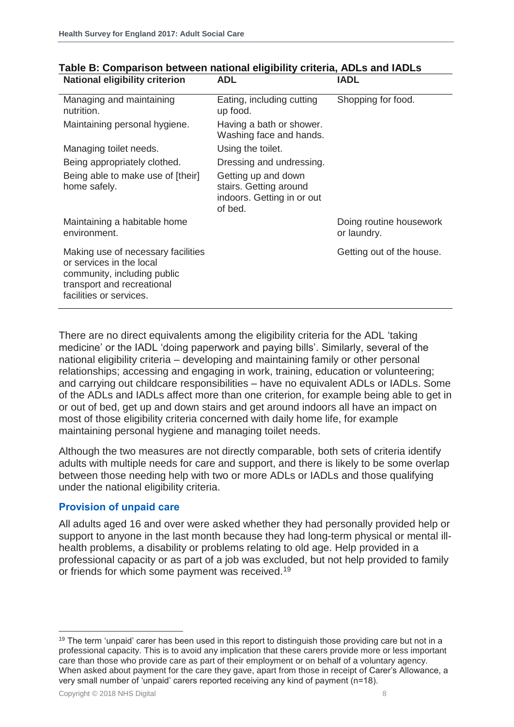| National eligibility criterion                                                                                                                         | ADL                                                                                    | IADL                                   |
|--------------------------------------------------------------------------------------------------------------------------------------------------------|----------------------------------------------------------------------------------------|----------------------------------------|
| Managing and maintaining<br>nutrition.                                                                                                                 | Eating, including cutting<br>up food.                                                  | Shopping for food.                     |
| Maintaining personal hygiene.                                                                                                                          | Having a bath or shower.<br>Washing face and hands.                                    |                                        |
| Managing toilet needs.                                                                                                                                 | Using the toilet.                                                                      |                                        |
| Being appropriately clothed.                                                                                                                           | Dressing and undressing.                                                               |                                        |
| Being able to make use of [their]<br>home safely.                                                                                                      | Getting up and down<br>stairs. Getting around<br>indoors. Getting in or out<br>of bed. |                                        |
| Maintaining a habitable home<br>environment.                                                                                                           |                                                                                        | Doing routine housework<br>or laundry. |
| Making use of necessary facilities<br>or services in the local<br>community, including public<br>transport and recreational<br>facilities or services. |                                                                                        | Getting out of the house.              |

#### **Table B: Comparison between national eligibility criteria, ADLs and IADLs National eligibility criterion ADL IADL**

There are no direct equivalents among the eligibility criteria for the ADL 'taking medicine' or the IADL 'doing paperwork and paying bills'. Similarly, several of the national eligibility criteria – developing and maintaining family or other personal relationships; accessing and engaging in work, training, education or volunteering; and carrying out childcare responsibilities – have no equivalent ADLs or IADLs. Some of the ADLs and IADLs affect more than one criterion, for example being able to get in or out of bed, get up and down stairs and get around indoors all have an impact on most of those eligibility criteria concerned with daily home life, for example maintaining personal hygiene and managing toilet needs.

Although the two measures are not directly comparable, both sets of criteria identify adults with multiple needs for care and support, and there is likely to be some overlap between those needing help with two or more ADLs or IADLs and those qualifying under the national eligibility criteria.

#### <span id="page-7-0"></span>**Provision of unpaid care**

All adults aged 16 and over were asked whether they had personally provided help or support to anyone in the last month because they had long-term physical or mental illhealth problems, a disability or problems relating to old age. Help provided in a professional capacity or as part of a job was excluded, but not help provided to family or friends for which some payment was received.<sup>19</sup>

<sup>&</sup>lt;sup>19</sup> The term 'unpaid' carer has been used in this report to distinguish those providing care but not in a professional capacity. This is to avoid any implication that these carers provide more or less important care than those who provide care as part of their employment or on behalf of a voluntary agency. When asked about payment for the care they gave, apart from those in receipt of Carer's Allowance, a very small number of 'unpaid' carers reported receiving any kind of payment (n=18).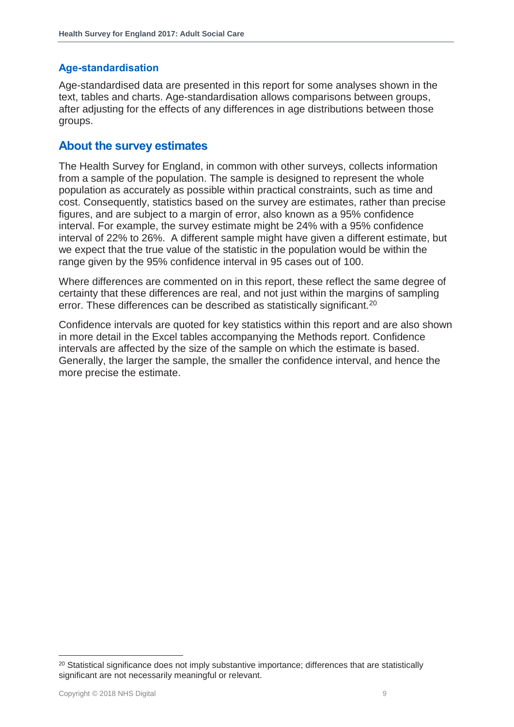#### <span id="page-8-0"></span>**Age-standardisation**

Age-standardised data are presented in this report for some analyses shown in the text, tables and charts. Age-standardisation allows comparisons between groups, after adjusting for the effects of any differences in age distributions between those groups.

#### <span id="page-8-1"></span>**About the survey estimates**

The Health Survey for England, in common with other surveys, collects information from a sample of the population. The sample is designed to represent the whole population as accurately as possible within practical constraints, such as time and cost. Consequently, statistics based on the survey are estimates, rather than precise figures, and are subject to a margin of error, also known as a 95% confidence interval. For example, the survey estimate might be 24% with a 95% confidence interval of 22% to 26%. A different sample might have given a different estimate, but we expect that the true value of the statistic in the population would be within the range given by the 95% confidence interval in 95 cases out of 100.

Where differences are commented on in this report, these reflect the same degree of certainty that these differences are real, and not just within the margins of sampling error. These differences can be described as statistically significant.<sup>20</sup>

Confidence intervals are quoted for key statistics within this report and are also shown in more detail in the Excel tables accompanying the Methods report. Confidence intervals are affected by the size of the sample on which the estimate is based. Generally, the larger the sample, the smaller the confidence interval, and hence the more precise the estimate.

<sup>&</sup>lt;sup>20</sup> Statistical significance does not imply substantive importance; differences that are statistically significant are not necessarily meaningful or relevant.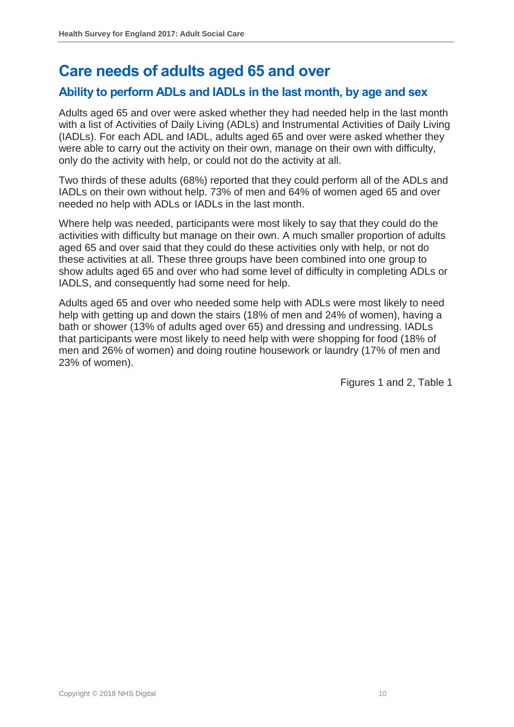### <span id="page-9-0"></span>**Care needs of adults aged 65 and over**

#### <span id="page-9-1"></span>**Ability to perform ADLs and IADLs in the last month, by age and sex**

Adults aged 65 and over were asked whether they had needed help in the last month with a list of Activities of Daily Living (ADLs) and Instrumental Activities of Daily Living (IADLs). For each ADL and IADL, adults aged 65 and over were asked whether they were able to carry out the activity on their own, manage on their own with difficulty, only do the activity with help, or could not do the activity at all.

Two thirds of these adults (68%) reported that they could perform all of the ADLs and IADLs on their own without help. 73% of men and 64% of women aged 65 and over needed no help with ADLs or IADLs in the last month.

Where help was needed, participants were most likely to say that they could do the activities with difficulty but manage on their own. A much smaller proportion of adults aged 65 and over said that they could do these activities only with help, or not do these activities at all. These three groups have been combined into one group to show adults aged 65 and over who had some level of difficulty in completing ADLs or IADLS, and consequently had some need for help.

Adults aged 65 and over who needed some help with ADLs were most likely to need help with getting up and down the stairs (18% of men and 24% of women), having a bath or shower (13% of adults aged over 65) and dressing and undressing. IADLs that participants were most likely to need help with were shopping for food (18% of men and 26% of women) and doing routine housework or laundry (17% of men and 23% of women).

Figures 1 and 2, Table 1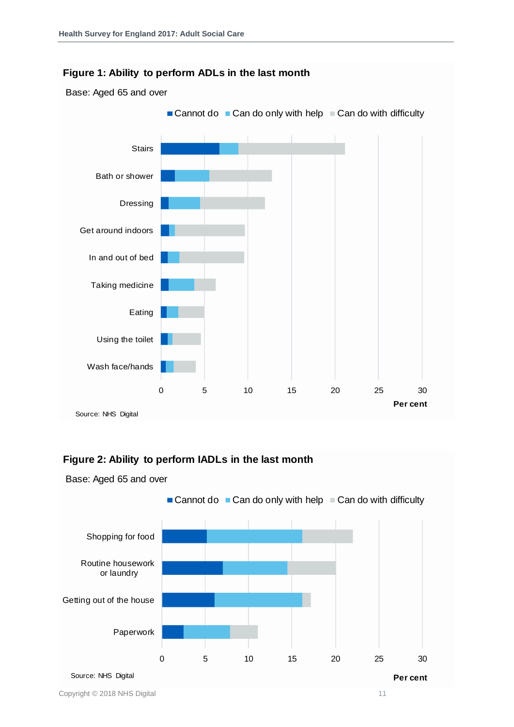#### **Figure 1: Ability to perform ADLs in the last month**

Base: Aged 65 and over



#### **Figure 2: Ability to perform IADLs in the last month**

Base: Aged 65 and over

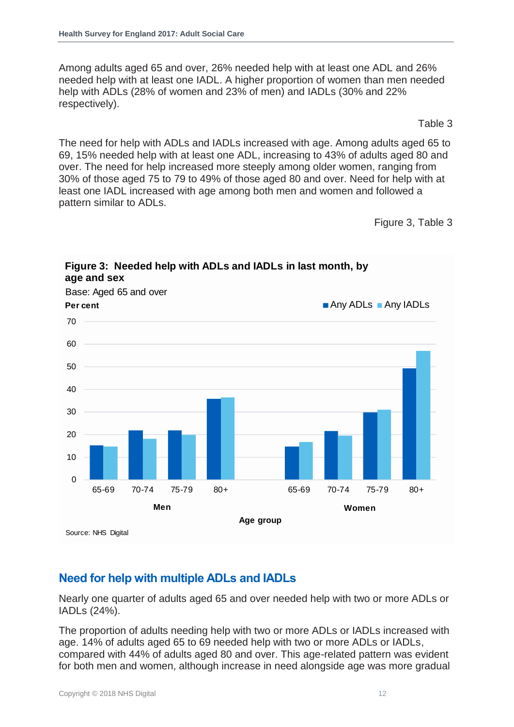Among adults aged 65 and over, 26% needed help with at least one ADL and 26% needed help with at least one IADL. A higher proportion of women than men needed help with ADLs (28% of women and 23% of men) and IADLs (30% and 22% respectively).

Table 3

The need for help with ADLs and IADLs increased with age. Among adults aged 65 to 69, 15% needed help with at least one ADL, increasing to 43% of adults aged 80 and over. The need for help increased more steeply among older women, ranging from 30% of those aged 75 to 79 to 49% of those aged 80 and over. Need for help with at least one IADL increased with age among both men and women and followed a pattern similar to ADLs.

Figure 3, Table 3



**Figure 3: Needed help with ADLs and IADLs in last month, by** 

#### <span id="page-11-0"></span>**Need for help with multiple ADLs and IADLs**

Nearly one quarter of adults aged 65 and over needed help with two or more ADLs or IADLs (24%).

The proportion of adults needing help with two or more ADLs or IADLs increased with age. 14% of adults aged 65 to 69 needed help with two or more ADLs or IADLs, compared with 44% of adults aged 80 and over. This age-related pattern was evident for both men and women, although increase in need alongside age was more gradual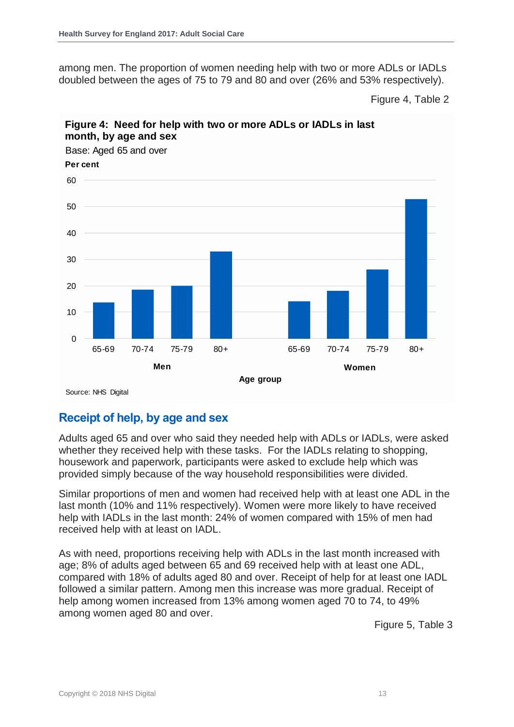among men. The proportion of women needing help with two or more ADLs or IADLs doubled between the ages of 75 to 79 and 80 and over (26% and 53% respectively).

Figure 4, Table 2



#### **Figure 4: Need for help with two or more ADLs or IADLs in last month, by age and sex**

<span id="page-12-0"></span>**Receipt of help, by age and sex**

Adults aged 65 and over who said they needed help with ADLs or IADLs, were asked whether they received help with these tasks. For the IADLs relating to shopping, housework and paperwork, participants were asked to exclude help which was provided simply because of the way household responsibilities were divided.

Similar proportions of men and women had received help with at least one ADL in the last month (10% and 11% respectively). Women were more likely to have received help with IADLs in the last month: 24% of women compared with 15% of men had received help with at least on IADL.

As with need, proportions receiving help with ADLs in the last month increased with age; 8% of adults aged between 65 and 69 received help with at least one ADL, compared with 18% of adults aged 80 and over. Receipt of help for at least one IADL followed a similar pattern. Among men this increase was more gradual. Receipt of help among women increased from 13% among women aged 70 to 74, to 49% among women aged 80 and over.

Figure 5, Table 3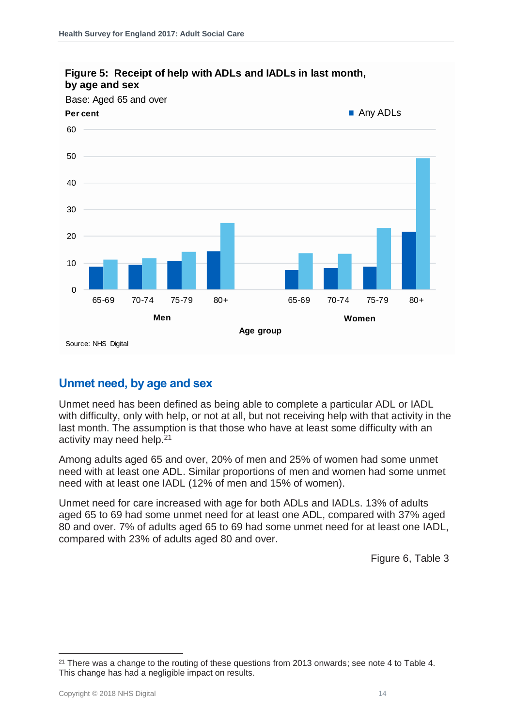

#### **Figure 5: Receipt of help with ADLs and IADLs in last month, by age and sex**

#### <span id="page-13-0"></span>**Unmet need, by age and sex**

Unmet need has been defined as being able to complete a particular ADL or IADL with difficulty, only with help, or not at all, but not receiving help with that activity in the last month. The assumption is that those who have at least some difficulty with an activity may need help.<sup>21</sup>

Among adults aged 65 and over, 20% of men and 25% of women had some unmet need with at least one ADL. Similar proportions of men and women had some unmet need with at least one IADL (12% of men and 15% of women).

Unmet need for care increased with age for both ADLs and IADLs. 13% of adults aged 65 to 69 had some unmet need for at least one ADL, compared with 37% aged 80 and over. 7% of adults aged 65 to 69 had some unmet need for at least one IADL, compared with 23% of adults aged 80 and over.

Figure 6, Table 3

<sup>&</sup>lt;sup>21</sup> There was a change to the routing of these questions from 2013 onwards; see note 4 to Table 4. This change has had a negligible impact on results.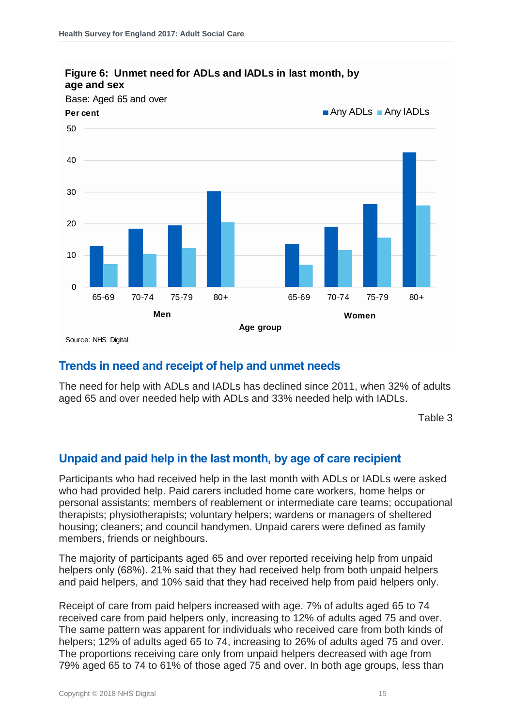

#### **Figure 6: Unmet need for ADLs and IADLs in last month, by age and sex**

#### <span id="page-14-0"></span>**Trends in need and receipt of help and unmet needs**

The need for help with ADLs and IADLs has declined since 2011, when 32% of adults aged 65 and over needed help with ADLs and 33% needed help with IADLs.

Table 3

#### <span id="page-14-1"></span>**Unpaid and paid help in the last month, by age of care recipient**

Participants who had received help in the last month with ADLs or IADLs were asked who had provided help. Paid carers included home care workers, home helps or personal assistants; members of reablement or intermediate care teams; occupational therapists; physiotherapists; voluntary helpers; wardens or managers of sheltered housing; cleaners; and council handymen. Unpaid carers were defined as family members, friends or neighbours.

The majority of participants aged 65 and over reported receiving help from unpaid helpers only (68%). 21% said that they had received help from both unpaid helpers and paid helpers, and 10% said that they had received help from paid helpers only.

Receipt of care from paid helpers increased with age. 7% of adults aged 65 to 74 received care from paid helpers only, increasing to 12% of adults aged 75 and over. The same pattern was apparent for individuals who received care from both kinds of helpers; 12% of adults aged 65 to 74, increasing to 26% of adults aged 75 and over. The proportions receiving care only from unpaid helpers decreased with age from 79% aged 65 to 74 to 61% of those aged 75 and over. In both age groups, less than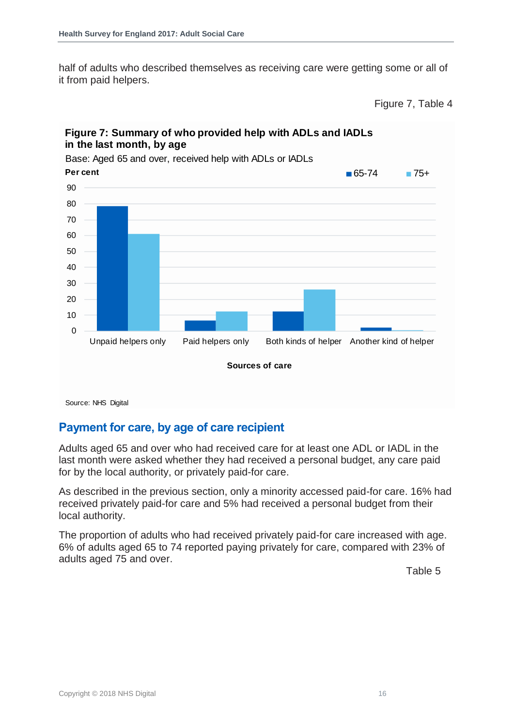half of adults who described themselves as receiving care were getting some or all of it from paid helpers.

Figure 7, Table 4



#### **Figure 7: Summary of who provided help with ADLs and IADLs in the last month, by age**

#### <span id="page-15-0"></span>**Payment for care, by age of care recipient**

Adults aged 65 and over who had received care for at least one ADL or IADL in the last month were asked whether they had received a personal budget, any care paid for by the local authority, or privately paid-for care.

As described in the previous section, only a minority accessed paid-for care. 16% had received privately paid-for care and 5% had received a personal budget from their local authority.

The proportion of adults who had received privately paid-for care increased with age. 6% of adults aged 65 to 74 reported paying privately for care, compared with 23% of adults aged 75 and over.

Table 5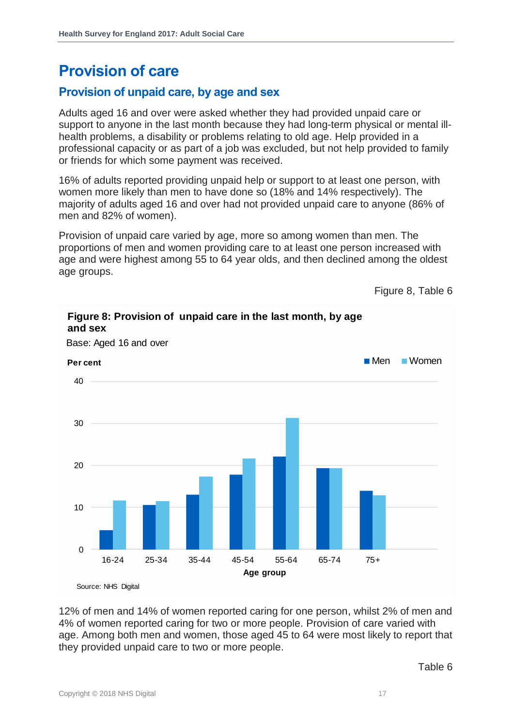### <span id="page-16-0"></span>**Provision of care**

#### <span id="page-16-1"></span>**Provision of unpaid care, by age and sex**

Adults aged 16 and over were asked whether they had provided unpaid care or support to anyone in the last month because they had long-term physical or mental illhealth problems, a disability or problems relating to old age. Help provided in a professional capacity or as part of a job was excluded, but not help provided to family or friends for which some payment was received.

16% of adults reported providing unpaid help or support to at least one person, with women more likely than men to have done so (18% and 14% respectively). The majority of adults aged 16 and over had not provided unpaid care to anyone (86% of men and 82% of women).

Provision of unpaid care varied by age, more so among women than men. The proportions of men and women providing care to at least one person increased with age and were highest among 55 to 64 year olds, and then declined among the oldest age groups.

**Figure 8: Provision of unpaid care in the last month, by age** 

Figure 8, Table 6



Base: Aged 16 and over

**and sex**

12% of men and 14% of women reported caring for one person, whilst 2% of men and 4% of women reported caring for two or more people. Provision of care varied with age. Among both men and women, those aged 45 to 64 were most likely to report that they provided unpaid care to two or more people.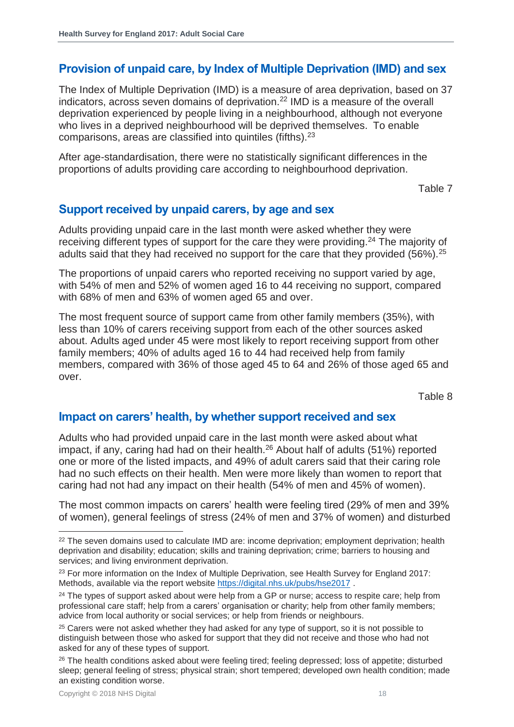#### <span id="page-17-0"></span>**Provision of unpaid care, by Index of Multiple Deprivation (IMD) and sex**

The Index of Multiple Deprivation (IMD) is a measure of area deprivation, based on 37 indicators, across seven domains of deprivation.<sup>22</sup> IMD is a measure of the overall deprivation experienced by people living in a neighbourhood, although not everyone who lives in a deprived neighbourhood will be deprived themselves. To enable comparisons, areas are classified into quintiles (fifths).<sup>23</sup>

After age-standardisation, there were no statistically significant differences in the proportions of adults providing care according to neighbourhood deprivation.

Table 7

#### <span id="page-17-1"></span>**Support received by unpaid carers, by age and sex**

Adults providing unpaid care in the last month were asked whether they were receiving different types of support for the care they were providing.<sup>24</sup> The majority of adults said that they had received no support for the care that they provided (56%).<sup>25</sup>

The proportions of unpaid carers who reported receiving no support varied by age, with 54% of men and 52% of women aged 16 to 44 receiving no support, compared with 68% of men and 63% of women aged 65 and over.

The most frequent source of support came from other family members (35%), with less than 10% of carers receiving support from each of the other sources asked about. Adults aged under 45 were most likely to report receiving support from other family members; 40% of adults aged 16 to 44 had received help from family members, compared with 36% of those aged 45 to 64 and 26% of those aged 65 and over.

Table 8

#### <span id="page-17-2"></span>**Impact on carers' health, by whether support received and sex**

Adults who had provided unpaid care in the last month were asked about what impact, if any, caring had had on their health.<sup>26</sup> About half of adults (51%) reported one or more of the listed impacts, and 49% of adult carers said that their caring role had no such effects on their health. Men were more likely than women to report that caring had not had any impact on their health (54% of men and 45% of women).

The most common impacts on carers' health were feeling tired (29% of men and 39% of women), general feelings of stress (24% of men and 37% of women) and disturbed

 $22$  The seven domains used to calculate IMD are: income deprivation; employment deprivation; health deprivation and disability; education; skills and training deprivation; crime; barriers to housing and services; and living environment deprivation.

<sup>&</sup>lt;sup>23</sup> For more information on the Index of Multiple Deprivation, see Health Survey for England 2017: Methods, available via the report website<https://digital.nhs.uk/pubs/hse2017> .

<sup>&</sup>lt;sup>24</sup> The types of support asked about were help from a GP or nurse; access to respite care; help from professional care staff; help from a carers' organisation or charity; help from other family members; advice from local authority or social services; or help from friends or neighbours.

<sup>&</sup>lt;sup>25</sup> Carers were not asked whether they had asked for any type of support, so it is not possible to distinguish between those who asked for support that they did not receive and those who had not asked for any of these types of support.

<sup>&</sup>lt;sup>26</sup> The health conditions asked about were feeling tired; feeling depressed; loss of appetite; disturbed sleep; general feeling of stress; physical strain; short tempered; developed own health condition; made an existing condition worse.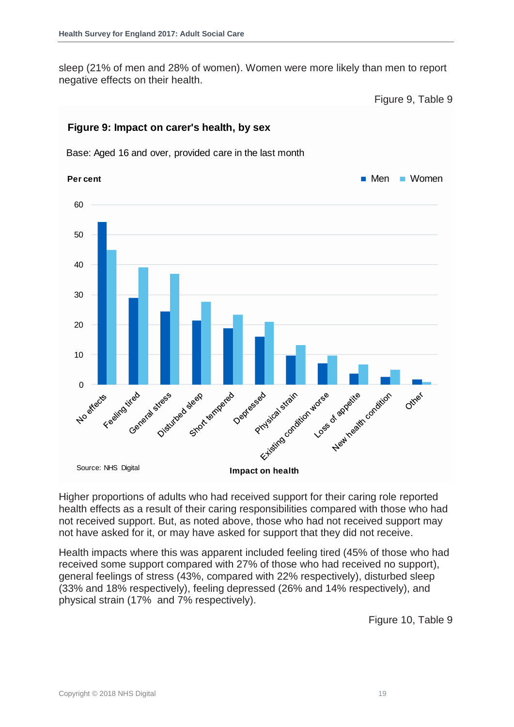sleep (21% of men and 28% of women). Women were more likely than men to report negative effects on their health.

Figure 9, Table 9



#### **Figure 9: Impact on carer's health, by sex**

Base: Aged 16 and over, provided care in the last month

Higher proportions of adults who had received support for their caring role reported health effects as a result of their caring responsibilities compared with those who had not received support. But, as noted above, those who had not received support may not have asked for it, or may have asked for support that they did not receive.

Health impacts where this was apparent included feeling tired (45% of those who had received some support compared with 27% of those who had received no support), general feelings of stress (43%, compared with 22% respectively), disturbed sleep (33% and 18% respectively), feeling depressed (26% and 14% respectively), and physical strain (17% and 7% respectively).

Figure 10, Table 9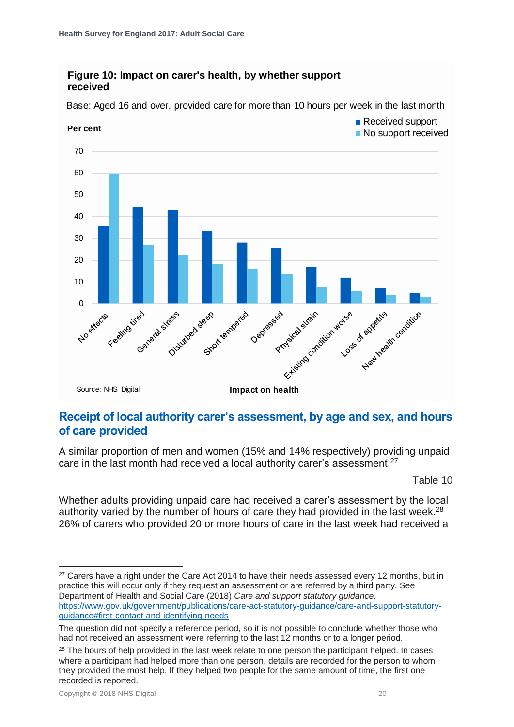#### **Figure 10: Impact on carer's health, by whether support received**

**Per cent** No support received 70 60 50 40 30 20 10 **No strects** E Feeling itreb Deptression Possed strait understanding the applitude on this General stress classed a seat temperature Source: NHS Digital **Impact on health**

Base: Aged 16 and over, provided care for more than 10 hours per week in the last month

#### <span id="page-19-0"></span>**Receipt of local authority carer's assessment, by age and sex, and hours of care provided**

A similar proportion of men and women (15% and 14% respectively) providing unpaid care in the last month had received a local authority carer's assessment.<sup>27</sup>

Table 10

Received support

Whether adults providing unpaid care had received a carer's assessment by the local authority varied by the number of hours of care they had provided in the last week.<sup>28</sup> 26% of carers who provided 20 or more hours of care in the last week had received a

l <sup>27</sup> Carers have a right under the Care Act 2014 to have their needs assessed every 12 months, but in practice this will occur only if they request an assessment or are referred by a third party. See Department of Health and Social Care (2018) *Care and support statutory guidance.*  [https://www.gov.uk/government/publications/care-act-statutory-guidance/care-and-support-statutory](https://www.gov.uk/government/publications/care-act-statutory-guidance/care-and-support-statutory-guidance#first-contact-and-identifying-needs)[guidance#first-contact-and-identifying-needs](https://www.gov.uk/government/publications/care-act-statutory-guidance/care-and-support-statutory-guidance#first-contact-and-identifying-needs)

The question did not specify a reference period, so it is not possible to conclude whether those who had not received an assessment were referring to the last 12 months or to a longer period.

<sup>&</sup>lt;sup>28</sup> The hours of help provided in the last week relate to one person the participant helped. In cases where a participant had helped more than one person, details are recorded for the person to whom they provided the most help. If they helped two people for the same amount of time, the first one recorded is reported.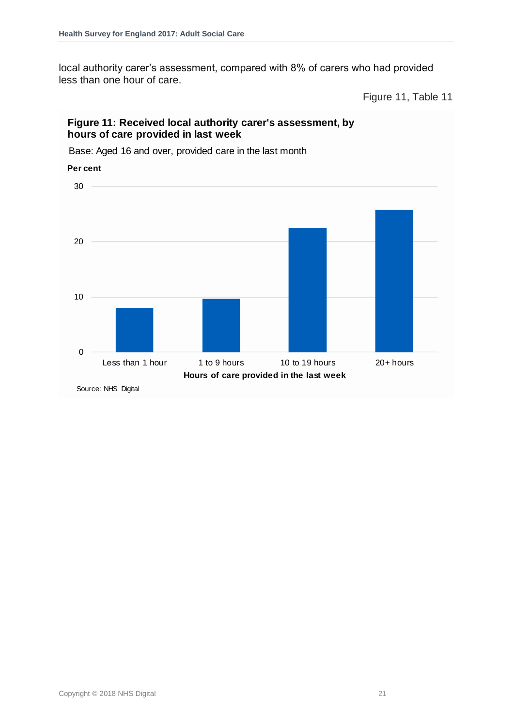local authority carer's assessment, compared with 8% of carers who had provided less than one hour of care.

Figure 11, Table 11

#### **Figure 11: Received local authority carer's assessment, by hours of care provided in last week**

Base: Aged 16 and over, provided care in the last month

0 10 20 30 Less than 1 hour 1 to 9 hours 10 to 19 hours 20+ hours **Per cent Hours of care provided in the last week** Source: NHS Digital